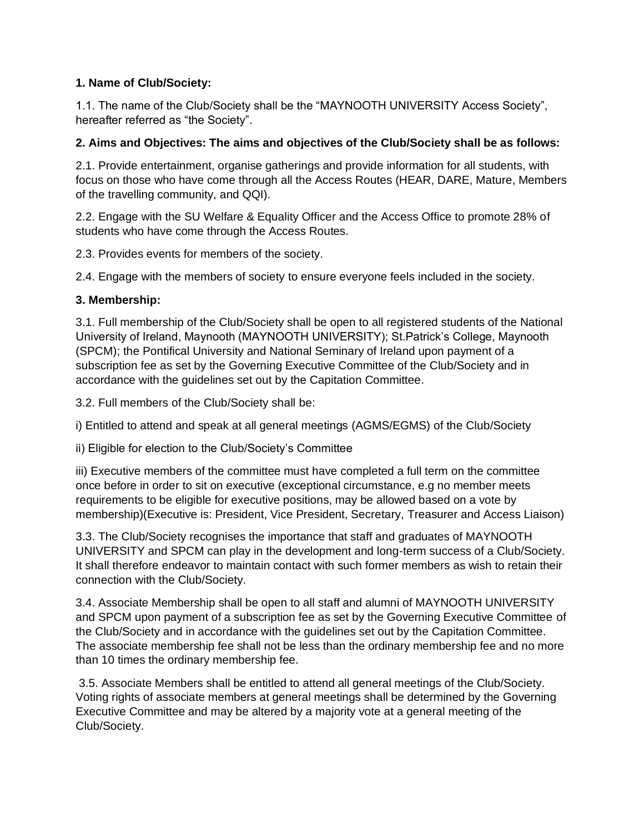## **1. Name of Club/Society:**

1.1. The name of the Club/Society shall be the "MAYNOOTH UNIVERSITY Access Society", hereafter referred as "the Society".

## **2. Aims and Objectives: The aims and objectives of the Club/Society shall be as follows:**

2.1. Provide entertainment, organise gatherings and provide information for all students, with focus on those who have come through all the Access Routes (HEAR, DARE, Mature, Members of the travelling community, and QQI).

2.2. Engage with the SU Welfare & Equality Officer and the Access Office to promote 28% of students who have come through the Access Routes.

2.3. Provides events for members of the society.

2.4. Engage with the members of society to ensure everyone feels included in the society.

## **3. Membership:**

3.1. Full membership of the Club/Society shall be open to all registered students of the National University of Ireland, Maynooth (MAYNOOTH UNIVERSITY); St.Patrick's College, Maynooth (SPCM); the Pontifical University and National Seminary of Ireland upon payment of a subscription fee as set by the Governing Executive Committee of the Club/Society and in accordance with the guidelines set out by the Capitation Committee.

3.2. Full members of the Club/Society shall be:

i) Entitled to attend and speak at all general meetings (AGMS/EGMS) of the Club/Society

ii) Eligible for election to the Club/Society's Committee

iii) Executive members of the committee must have completed a full term on the committee once before in order to sit on executive (exceptional circumstance, e.g no member meets requirements to be eligible for executive positions, may be allowed based on a vote by membership)(Executive is: President, Vice President, Secretary, Treasurer and Access Liaison)

3.3. The Club/Society recognises the importance that staff and graduates of MAYNOOTH UNIVERSITY and SPCM can play in the development and long-term success of a Club/Society. It shall therefore endeavor to maintain contact with such former members as wish to retain their connection with the Club/Society.

3.4. Associate Membership shall be open to all staff and alumni of MAYNOOTH UNIVERSITY and SPCM upon payment of a subscription fee as set by the Governing Executive Committee of the Club/Society and in accordance with the guidelines set out by the Capitation Committee. The associate membership fee shall not be less than the ordinary membership fee and no more than 10 times the ordinary membership fee.

3.5. Associate Members shall be entitled to attend all general meetings of the Club/Society. Voting rights of associate members at general meetings shall be determined by the Governing Executive Committee and may be altered by a majority vote at a general meeting of the Club/Society.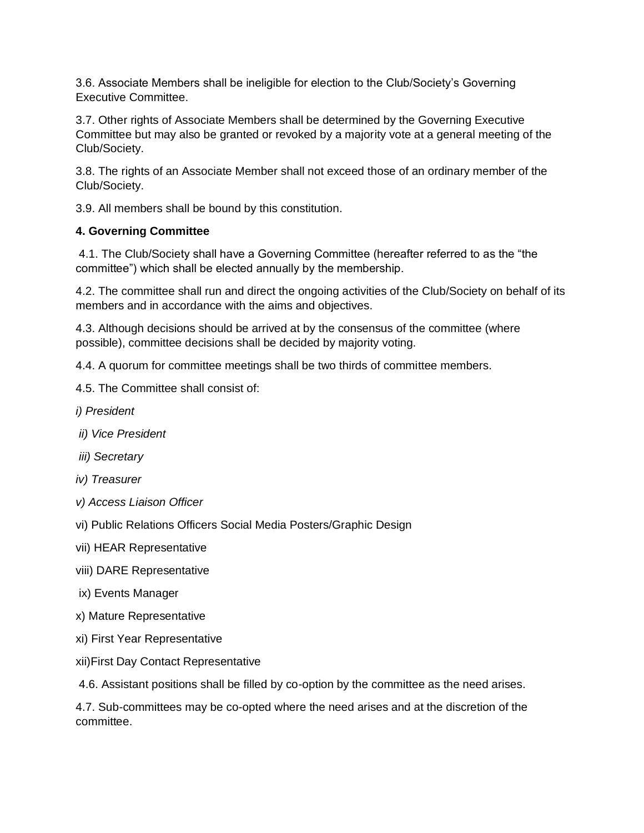3.6. Associate Members shall be ineligible for election to the Club/Society's Governing Executive Committee.

3.7. Other rights of Associate Members shall be determined by the Governing Executive Committee but may also be granted or revoked by a majority vote at a general meeting of the Club/Society.

3.8. The rights of an Associate Member shall not exceed those of an ordinary member of the Club/Society.

3.9. All members shall be bound by this constitution.

## **4. Governing Committee**

4.1. The Club/Society shall have a Governing Committee (hereafter referred to as the "the committee") which shall be elected annually by the membership.

4.2. The committee shall run and direct the ongoing activities of the Club/Society on behalf of its members and in accordance with the aims and objectives.

4.3. Although decisions should be arrived at by the consensus of the committee (where possible), committee decisions shall be decided by majority voting.

4.4. A quorum for committee meetings shall be two thirds of committee members.

- 4.5. The Committee shall consist of:
- *i) President*
- *ii) Vice President*
- *iii) Secretary*
- *iv) Treasurer*
- *v) Access Liaison Officer*
- vi) Public Relations Officers Social Media Posters/Graphic Design
- vii) HEAR Representative
- viii) DARE Representative
- ix) Events Manager
- x) Mature Representative
- xi) First Year Representative
- xii)First Day Contact Representative

4.6. Assistant positions shall be filled by co-option by the committee as the need arises.

4.7. Sub-committees may be co-opted where the need arises and at the discretion of the committee.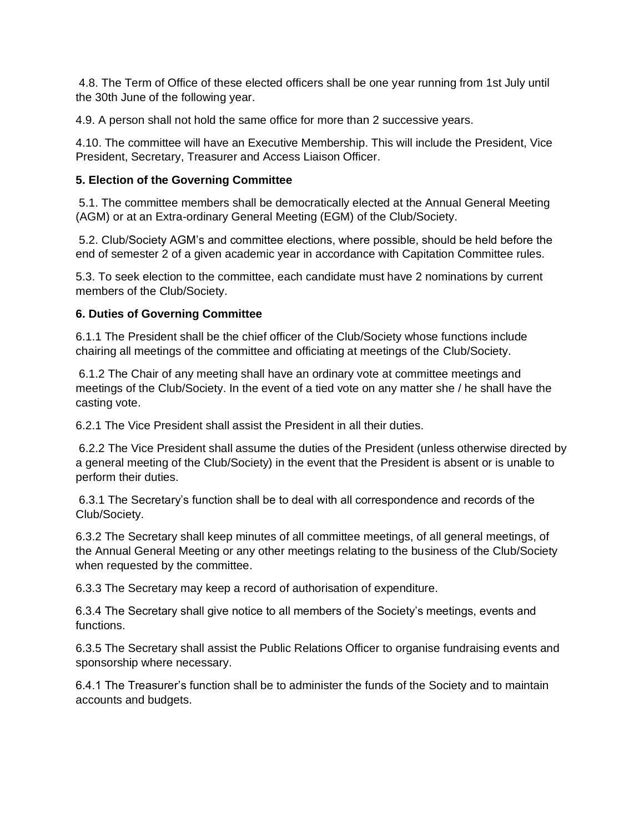4.8. The Term of Office of these elected officers shall be one year running from 1st July until the 30th June of the following year.

4.9. A person shall not hold the same office for more than 2 successive years.

4.10. The committee will have an Executive Membership. This will include the President, Vice President, Secretary, Treasurer and Access Liaison Officer.

### **5. Election of the Governing Committee**

5.1. The committee members shall be democratically elected at the Annual General Meeting (AGM) or at an Extra-ordinary General Meeting (EGM) of the Club/Society.

5.2. Club/Society AGM's and committee elections, where possible, should be held before the end of semester 2 of a given academic year in accordance with Capitation Committee rules.

5.3. To seek election to the committee, each candidate must have 2 nominations by current members of the Club/Society.

#### **6. Duties of Governing Committee**

6.1.1 The President shall be the chief officer of the Club/Society whose functions include chairing all meetings of the committee and officiating at meetings of the Club/Society.

6.1.2 The Chair of any meeting shall have an ordinary vote at committee meetings and meetings of the Club/Society. In the event of a tied vote on any matter she / he shall have the casting vote.

6.2.1 The Vice President shall assist the President in all their duties.

6.2.2 The Vice President shall assume the duties of the President (unless otherwise directed by a general meeting of the Club/Society) in the event that the President is absent or is unable to perform their duties.

6.3.1 The Secretary's function shall be to deal with all correspondence and records of the Club/Society.

6.3.2 The Secretary shall keep minutes of all committee meetings, of all general meetings, of the Annual General Meeting or any other meetings relating to the business of the Club/Society when requested by the committee.

6.3.3 The Secretary may keep a record of authorisation of expenditure.

6.3.4 The Secretary shall give notice to all members of the Society's meetings, events and functions.

6.3.5 The Secretary shall assist the Public Relations Officer to organise fundraising events and sponsorship where necessary.

6.4.1 The Treasurer's function shall be to administer the funds of the Society and to maintain accounts and budgets.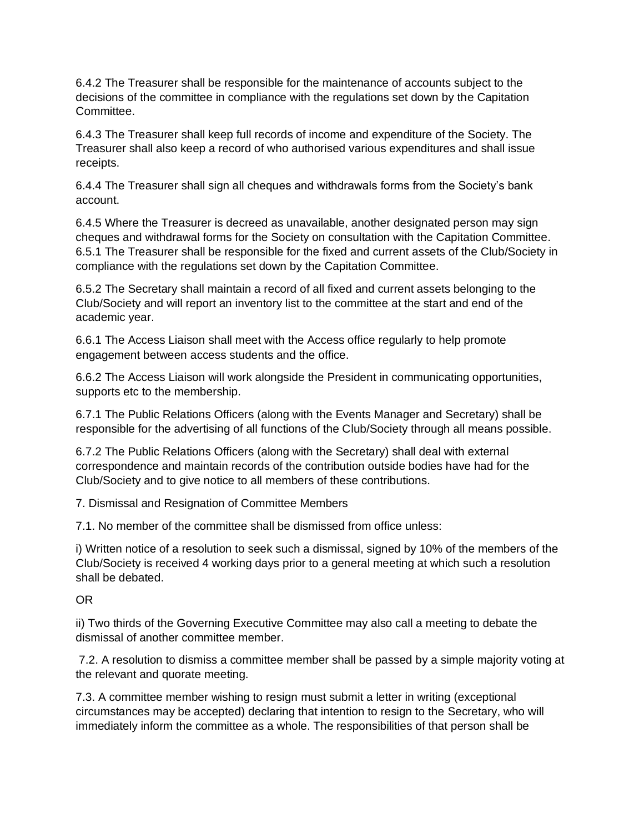6.4.2 The Treasurer shall be responsible for the maintenance of accounts subject to the decisions of the committee in compliance with the regulations set down by the Capitation Committee.

6.4.3 The Treasurer shall keep full records of income and expenditure of the Society. The Treasurer shall also keep a record of who authorised various expenditures and shall issue receipts.

6.4.4 The Treasurer shall sign all cheques and withdrawals forms from the Society's bank account.

6.4.5 Where the Treasurer is decreed as unavailable, another designated person may sign cheques and withdrawal forms for the Society on consultation with the Capitation Committee. 6.5.1 The Treasurer shall be responsible for the fixed and current assets of the Club/Society in compliance with the regulations set down by the Capitation Committee.

6.5.2 The Secretary shall maintain a record of all fixed and current assets belonging to the Club/Society and will report an inventory list to the committee at the start and end of the academic year.

6.6.1 The Access Liaison shall meet with the Access office regularly to help promote engagement between access students and the office.

6.6.2 The Access Liaison will work alongside the President in communicating opportunities, supports etc to the membership.

6.7.1 The Public Relations Officers (along with the Events Manager and Secretary) shall be responsible for the advertising of all functions of the Club/Society through all means possible.

6.7.2 The Public Relations Officers (along with the Secretary) shall deal with external correspondence and maintain records of the contribution outside bodies have had for the Club/Society and to give notice to all members of these contributions.

7. Dismissal and Resignation of Committee Members

7.1. No member of the committee shall be dismissed from office unless:

i) Written notice of a resolution to seek such a dismissal, signed by 10% of the members of the Club/Society is received 4 working days prior to a general meeting at which such a resolution shall be debated.

OR

ii) Two thirds of the Governing Executive Committee may also call a meeting to debate the dismissal of another committee member.

7.2. A resolution to dismiss a committee member shall be passed by a simple majority voting at the relevant and quorate meeting.

7.3. A committee member wishing to resign must submit a letter in writing (exceptional circumstances may be accepted) declaring that intention to resign to the Secretary, who will immediately inform the committee as a whole. The responsibilities of that person shall be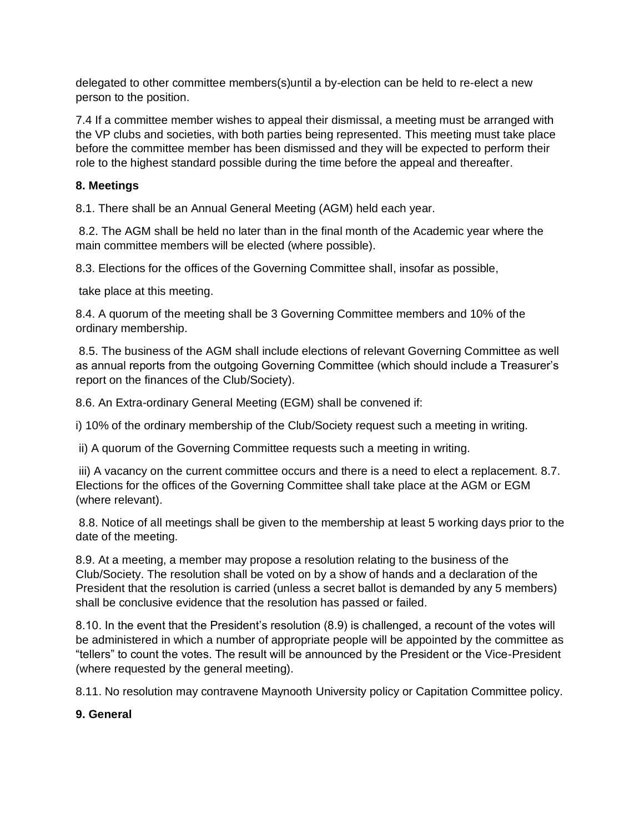delegated to other committee members(s)until a by-election can be held to re-elect a new person to the position.

7.4 If a committee member wishes to appeal their dismissal, a meeting must be arranged with the VP clubs and societies, with both parties being represented. This meeting must take place before the committee member has been dismissed and they will be expected to perform their role to the highest standard possible during the time before the appeal and thereafter.

## **8. Meetings**

8.1. There shall be an Annual General Meeting (AGM) held each year.

8.2. The AGM shall be held no later than in the final month of the Academic year where the main committee members will be elected (where possible).

8.3. Elections for the offices of the Governing Committee shall, insofar as possible,

take place at this meeting.

8.4. A quorum of the meeting shall be 3 Governing Committee members and 10% of the ordinary membership.

8.5. The business of the AGM shall include elections of relevant Governing Committee as well as annual reports from the outgoing Governing Committee (which should include a Treasurer's report on the finances of the Club/Society).

8.6. An Extra-ordinary General Meeting (EGM) shall be convened if:

i) 10% of the ordinary membership of the Club/Society request such a meeting in writing.

ii) A quorum of the Governing Committee requests such a meeting in writing.

iii) A vacancy on the current committee occurs and there is a need to elect a replacement. 8.7. Elections for the offices of the Governing Committee shall take place at the AGM or EGM (where relevant).

8.8. Notice of all meetings shall be given to the membership at least 5 working days prior to the date of the meeting.

8.9. At a meeting, a member may propose a resolution relating to the business of the Club/Society. The resolution shall be voted on by a show of hands and a declaration of the President that the resolution is carried (unless a secret ballot is demanded by any 5 members) shall be conclusive evidence that the resolution has passed or failed.

8.10. In the event that the President's resolution (8.9) is challenged, a recount of the votes will be administered in which a number of appropriate people will be appointed by the committee as "tellers" to count the votes. The result will be announced by the President or the Vice-President (where requested by the general meeting).

8.11. No resolution may contravene Maynooth University policy or Capitation Committee policy.

# **9. General**